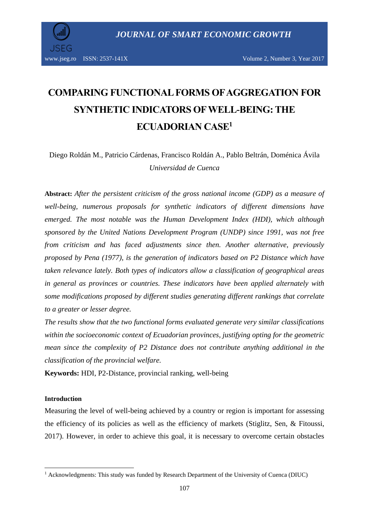

www.jseg.ro ISSN: 2537-141X Volume 2, Number 3, Year 2017

# **COMPARING FUNCTIONAL FORMS OF AGGREGATION FOR SYNTHETIC INDICATORS OF WELL-BEING: THE ECUADORIAN CASE<sup>1</sup>**

Diego Roldán M., Patricio Cárdenas, Francisco Roldán A., Pablo Beltrán, Doménica Ávila *Universidad de Cuenca*

**Abstract:** *After the persistent criticism of the gross national income (GDP) as a measure of well-being, numerous proposals for synthetic indicators of different dimensions have emerged. The most notable was the Human Development Index (HDI), which although sponsored by the United Nations Development Program (UNDP) since 1991, was not free from criticism and has faced adjustments since then. Another alternative, previously proposed by Pena (1977), is the generation of indicators based on P2 Distance which have taken relevance lately. Both types of indicators allow a classification of geographical areas in general as provinces or countries. These indicators have been applied alternately with some modifications proposed by different studies generating different rankings that correlate to a greater or lesser degree.*

*The results show that the two functional forms evaluated generate very similar classifications within the socioeconomic context of Ecuadorian provinces, justifying opting for the geometric mean since the complexity of P2 Distance does not contribute anything additional in the classification of the provincial welfare.*

**Keywords:** HDI, P2-Distance, provincial ranking, well-being

### **Introduction**

-

Measuring the level of well-being achieved by a country or region is important for assessing the efficiency of its policies as well as the efficiency of markets (Stiglitz, Sen, & Fitoussi, 2017). However, in order to achieve this goal, it is necessary to overcome certain obstacles

<sup>&</sup>lt;sup>1</sup> Acknowledgments: This study was funded by Research Department of the University of Cuenca (DIUC)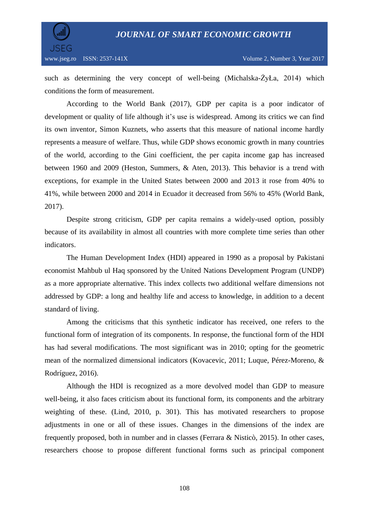

such as determining the very concept of well-being (Michalska-ŻyŁa, 2014) which conditions the form of measurement.

According to the World Bank (2017), GDP per capita is a poor indicator of development or quality of life although it's use is widespread. Among its critics we can find its own inventor, Simon Kuznets, who asserts that this measure of national income hardly represents a measure of welfare. Thus, while GDP shows economic growth in many countries of the world, according to the Gini coefficient, the per capita income gap has increased between 1960 and 2009 (Heston, Summers, & Aten, 2013). This behavior is a trend with exceptions, for example in the United States between 2000 and 2013 it rose from 40% to 41%, while between 2000 and 2014 in Ecuador it decreased from 56% to 45% (World Bank, 2017).

Despite strong criticism, GDP per capita remains a widely-used option, possibly because of its availability in almost all countries with more complete time series than other indicators.

The Human Development Index (HDI) appeared in 1990 as a proposal by Pakistani economist Mahbub ul Haq sponsored by the United Nations Development Program (UNDP) as a more appropriate alternative. This index collects two additional welfare dimensions not addressed by GDP: a long and healthy life and access to knowledge, in addition to a decent standard of living.

Among the criticisms that this synthetic indicator has received, one refers to the functional form of integration of its components. In response, the functional form of the HDI has had several modifications. The most significant was in 2010; opting for the geometric mean of the normalized dimensional indicators (Kovacevic, 2011; Luque, Pérez-Moreno, & Rodríguez, 2016).

Although the HDI is recognized as a more devolved model than GDP to measure well-being, it also faces criticism about its functional form, its components and the arbitrary weighting of these. (Lind, 2010, p. 301). This has motivated researchers to propose adjustments in one or all of these issues. Changes in the dimensions of the index are frequently proposed, both in number and in classes (Ferrara & Nisticò, 2015). In other cases, researchers choose to propose different functional forms such as principal component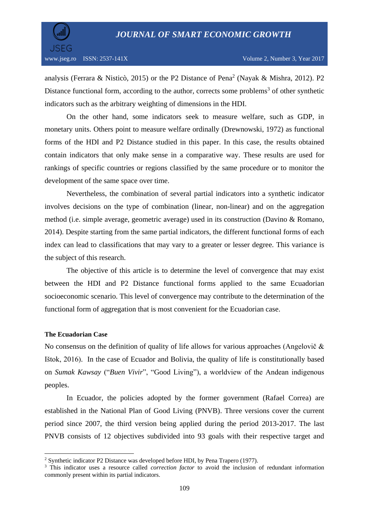

analysis (Ferrara & Nisticò, 2015) or the P2 Distance of Pena<sup>2</sup> (Nayak & Mishra, 2012). P2 Distance functional form, according to the author, corrects some problems<sup>3</sup> of other synthetic indicators such as the arbitrary weighting of dimensions in the HDI.

On the other hand, some indicators seek to measure welfare, such as GDP, in monetary units. Others point to measure welfare ordinally (Drewnowski, 1972) as functional forms of the HDI and P2 Distance studied in this paper. In this case, the results obtained contain indicators that only make sense in a comparative way. These results are used for rankings of specific countries or regions classified by the same procedure or to monitor the development of the same space over time.

Nevertheless, the combination of several partial indicators into a synthetic indicator involves decisions on the type of combination (linear, non-linear) and on the aggregation method (i.e. simple average, geometric average) used in its construction (Davino & Romano, 2014). Despite starting from the same partial indicators, the different functional forms of each index can lead to classifications that may vary to a greater or lesser degree. This variance is the subject of this research.

The objective of this article is to determine the level of convergence that may exist between the HDI and P2 Distance functional forms applied to the same Ecuadorian socioeconomic scenario. This level of convergence may contribute to the determination of the functional form of aggregation that is most convenient for the Ecuadorian case.

### **The Ecuadorian Case**

1

No consensus on the definition of quality of life allows for various approaches (Angelovič  $\&$ Ištok, 2016). In the case of Ecuador and Bolivia, the quality of life is constitutionally based on *Sumak Kawsay* ("*Buen Vivir*", "Good Living"), a worldview of the Andean indigenous peoples.

In Ecuador, the policies adopted by the former government (Rafael Correa) are established in the National Plan of Good Living (PNVB). Three versions cover the current period since 2007, the third version being applied during the period 2013-2017. The last PNVB consists of 12 objectives subdivided into 93 goals with their respective target and

<sup>2</sup> Synthetic indicator P2 Distance was developed before HDI, by Pena Trapero (1977).

<sup>3</sup> This indicator uses a resource called *correction factor* to avoid the inclusion of redundant information commonly present within its partial indicators.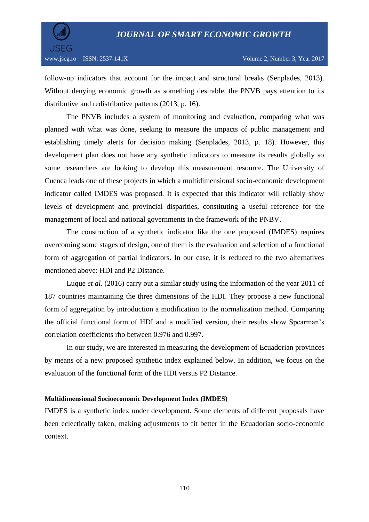

follow-up indicators that account for the impact and structural breaks (Senplades, 2013). Without denying economic growth as something desirable, the PNVB pays attention to its distributive and redistributive patterns (2013, p. 16).

The PNVB includes a system of monitoring and evaluation, comparing what was planned with what was done, seeking to measure the impacts of public management and establishing timely alerts for decision making (Senplades, 2013, p. 18). However, this development plan does not have any synthetic indicators to measure its results globally so some researchers are looking to develop this measurement resource. The University of Cuenca leads one of these projects in which a multidimensional socio-economic development indicator called IMDES was proposed. It is expected that this indicator will reliably show levels of development and provincial disparities, constituting a useful reference for the management of local and national governments in the framework of the PNBV.

The construction of a synthetic indicator like the one proposed (IMDES) requires overcoming some stages of design, one of them is the evaluation and selection of a functional form of aggregation of partial indicators. In our case, it is reduced to the two alternatives mentioned above: HDI and P2 Distance.

Luque *et al*. (2016) carry out a similar study using the information of the year 2011 of 187 countries maintaining the three dimensions of the HDI. They propose a new functional form of aggregation by introduction a modification to the normalization method. Comparing the official functional form of HDI and a modified version, their results show Spearman's correlation coefficients rho between 0.976 and 0.997.

In our study, we are interested in measuring the development of Ecuadorian provinces by means of a new proposed synthetic index explained below. In addition, we focus on the evaluation of the functional form of the HDI versus P2 Distance.

### **Multidimensional Socioeconomic Development Index (IMDES)**

IMDES is a synthetic index under development. Some elements of different proposals have been eclectically taken, making adjustments to fit better in the Ecuadorian socio-economic context.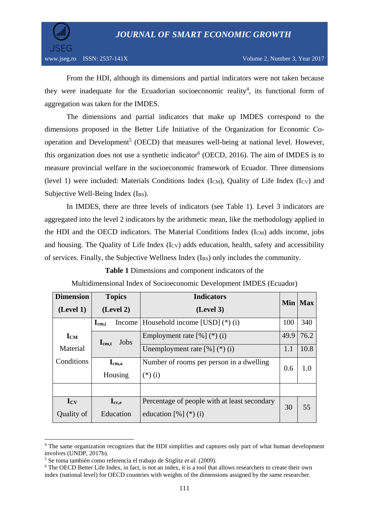

From the HDI, although its dimensions and partial indicators were not taken because they were inadequate for the Ecuadorian socioeconomic reality<sup>4</sup>, its functional form of aggregation was taken for the IMDES.

The dimensions and partial indicators that make up IMDES correspond to the dimensions proposed in the Better Life Initiative of the Organization for Economic Cooperation and Development<sup>5</sup> (OECD) that measures well-being at national level. However, this organization does not use a synthetic indicator<sup>6</sup> (OECD, 2016). The aim of IMDES is to measure provincial welfare in the socioeconomic framework of Ecuador. Three dimensions (level 1) were included: Materials Conditions Index (ICM), Quality of Life Index (ICV) and Subjective Well-Being Index  $(I_{BS})$ .

In IMDES, there are three levels of indicators (see Table 1). Level 3 indicators are aggregated into the level 2 indicators by the arithmetic mean, like the methodology applied in the HDI and the OECD indicators. The Material Conditions Index (ICM) adds income, jobs and housing. The Quality of Life Index (Icv) adds education, health, safety and accessibility of services. Finally, the Subjective Wellness Index (IBS) only includes the community.

**Table 1** Dimensions and component indicators of the

| <b>Dimension</b>                                  | <b>Topics</b>                        | <b>Indicators</b>                                                        |      | Min   Max |
|---------------------------------------------------|--------------------------------------|--------------------------------------------------------------------------|------|-----------|
| (Level 1)                                         | (Level 2)                            | (Level 3)                                                                |      |           |
|                                                   | $I_{cm,i}$<br>Income                 | Household income [USD] $(*)$ (i)                                         | 100  | 340       |
| $\mathbf{I}_{\mathbf{C}\mathbf{M}}$               | Jobs<br>$\mathbf{I}_{\mathrm{cm},t}$ | Employment rate $[\%]$ (*) (i)                                           | 49.9 | 76.2      |
| Material                                          |                                      | Unemployment rate $[\%]$ (*) (i)                                         | 1.1  | 10.8      |
| Conditions                                        | $\mathbf{I}_{cm,a}$                  | Number of rooms per person in a dwelling                                 | 0.6  | 1.0       |
|                                                   | Housing                              | $(*)$ (i)                                                                |      |           |
|                                                   |                                      |                                                                          |      |           |
| $\mathbf{I}_{\mathbf{C}\mathbf{V}}$<br>Quality of | $I_{\rm cv,e}$<br>Education          | Percentage of people with at least secondary<br>education $[\%]$ (*) (i) | 30   | 55        |

Multidimensional Index of Socioeconomic Development IMDES (Ecuador)

<sup>1</sup> <sup>4</sup> The same organization recognizes that the HDI simplifies and captures only part of what human development involves (UNDP, 2017b).

<sup>5</sup> Se toma también como referencia el trabajo de Stiglitz *et al*. (2009).

<sup>&</sup>lt;sup>6</sup> The OECD Better Life Index, in fact, is not an index, it is a tool that allows researchers to create their own index (national level) for OECD countries with weights of the dimensions assigned by the same researcher.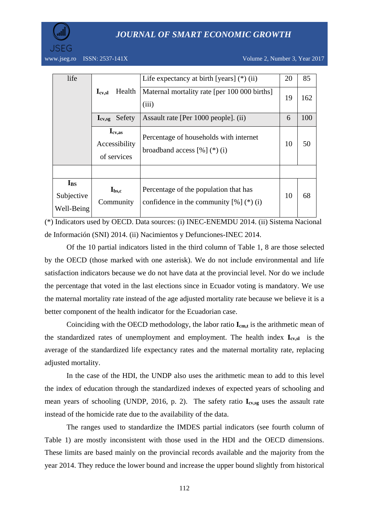

www.jseg.ro ISSN: 2537-141X Volume 2, Number 3, Year 2017

| life                                 |                                                             | Life expectancy at birth [years] $(*)$ (ii)                                         | 20 | 85  |
|--------------------------------------|-------------------------------------------------------------|-------------------------------------------------------------------------------------|----|-----|
|                                      | Health<br>$\mathbf{I}_{\rm cv,sl}$                          | Maternal mortality rate [per 100 000 births]<br>(iii)                               | 19 | 162 |
|                                      | Sefety<br>$I_{\rm cv, sg}$                                  | Assault rate [Per 1000 people]. (ii)                                                | 6  | 100 |
|                                      | $\mathbf{I}_{\text{cv,as}}$<br>Accessibility<br>of services | Percentage of households with internet<br>broadband access $[\%]$ (*) (i)           | 10 | 50  |
|                                      |                                                             |                                                                                     |    |     |
| $I_{BS}$<br>Subjective<br>Well-Being | $I_{bs,c}$<br>Community                                     | Percentage of the population that has<br>confidence in the community $[\%]$ (*) (i) | 10 | 68  |

(\*) Indicators used by OECD. Data sources: (i) INEC-ENEMDU 2014. (ii) Sistema Nacional de Información (SNI) 2014. (ii) Nacimientos y Defunciones-INEC 2014.

Of the 10 partial indicators listed in the third column of Table 1, 8 are those selected by the OECD (those marked with one asterisk). We do not include environmental and life satisfaction indicators because we do not have data at the provincial level. Nor do we include the percentage that voted in the last elections since in Ecuador voting is mandatory. We use the maternal mortality rate instead of the age adjusted mortality rate because we believe it is a better component of the health indicator for the Ecuadorian case.

Coinciding with the OECD methodology, the labor ratio **Icm,t** is the arithmetic mean of the standardized rates of unemployment and employment. The health index  $\mathbf{I}_{\text{cv,sl}}$  is the average of the standardized life expectancy rates and the maternal mortality rate, replacing adjusted mortality.

In the case of the HDI, the UNDP also uses the arithmetic mean to add to this level the index of education through the standardized indexes of expected years of schooling and mean years of schooling (UNDP, 2016, p. 2). The safety ratio **Icv,sg** uses the assault rate instead of the homicide rate due to the availability of the data.

The ranges used to standardize the IMDES partial indicators (see fourth column of Table 1) are mostly inconsistent with those used in the HDI and the OECD dimensions. These limits are based mainly on the provincial records available and the majority from the year 2014. They reduce the lower bound and increase the upper bound slightly from historical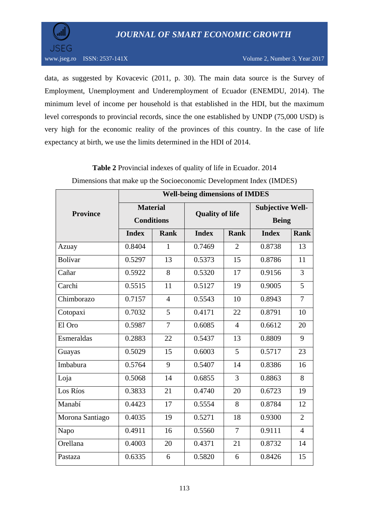

data, as suggested by Kovacevic (2011, p. 30). The main data source is the Survey of Employment, Unemployment and Underemployment of Ecuador (ENEMDU, 2014). The minimum level of income per household is that established in the HDI, but the maximum level corresponds to provincial records, since the one established by UNDP (75,000 USD) is very high for the economic reality of the provinces of this country. In the case of life expectancy at birth, we use the limits determined in the HDI of 2014.

|                 | <b>Well-being dimensions of IMDES</b> |                |                        |                |                                         |                |
|-----------------|---------------------------------------|----------------|------------------------|----------------|-----------------------------------------|----------------|
| <b>Province</b> | <b>Material</b><br><b>Conditions</b>  |                | <b>Quality of life</b> |                | <b>Subjective Well-</b><br><b>Being</b> |                |
|                 | <b>Index</b>                          | <b>Rank</b>    | <b>Index</b>           | <b>Rank</b>    | <b>Index</b>                            | <b>Rank</b>    |
| Azuay           | 0.8404                                | $\mathbf{1}$   | 0.7469                 | $\overline{2}$ | 0.8738                                  | 13             |
| Bolívar         | 0.5297                                | 13             | 0.5373                 | 15             | 0.8786                                  | 11             |
| Cañar           | 0.5922                                | 8              | 0.5320                 | 17             | 0.9156                                  | 3              |
| Carchi          | 0.5515                                | 11             | 0.5127                 | 19             | 0.9005                                  | 5              |
| Chimborazo      | 0.7157                                | $\overline{4}$ | 0.5543                 | 10             | 0.8943                                  | $\overline{7}$ |
| Cotopaxi        | 0.7032                                | 5              | 0.4171                 | 22             | 0.8791                                  | 10             |
| El Oro          | 0.5987                                | 7              | 0.6085                 | $\overline{4}$ | 0.6612                                  | 20             |
| Esmeraldas      | 0.2883                                | 22             | 0.5437                 | 13             | 0.8809                                  | 9              |
| Guayas          | 0.5029                                | 15             | 0.6003                 | 5              | 0.5717                                  | 23             |
| Imbabura        | 0.5764                                | 9              | 0.5407                 | 14             | 0.8386                                  | 16             |
| Loja            | 0.5068                                | 14             | 0.6855                 | 3              | 0.8863                                  | 8              |
| Los Ríos        | 0.3833                                | 21             | 0.4740                 | 20             | 0.6723                                  | 19             |
| Manabí          | 0.4423                                | 17             | 0.5554                 | 8              | 0.8784                                  | 12             |
| Morona Santiago | 0.4035                                | 19             | 0.5271                 | 18             | 0.9300                                  | $\overline{2}$ |
| Napo            | 0.4911                                | 16             | 0.5560                 | $\overline{7}$ | 0.9111                                  | $\overline{4}$ |
| Orellana        | 0.4003                                | 20             | 0.4371                 | 21             | 0.8732                                  | 14             |
| Pastaza         | 0.6335                                | 6              | 0.5820                 | 6              | 0.8426                                  | 15             |

# **Table 2** Provincial indexes of quality of life in Ecuador. 2014

| Dimensions that make up the Socioeconomic Development Index (IMDES) |  |
|---------------------------------------------------------------------|--|
|---------------------------------------------------------------------|--|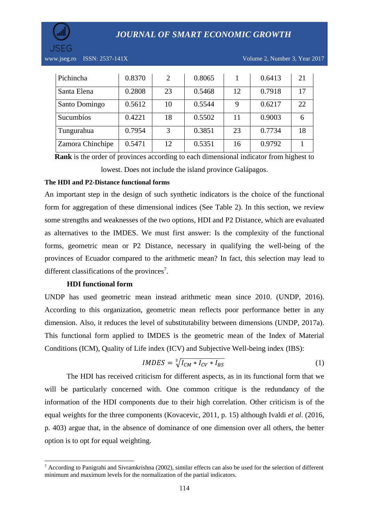

www.jseg.ro ISSN: 2537-141X Volume 2, Number 3, Year 2017

| Pichincha        | 0.8370 | $\overline{2}$ | 0.8065 |    | 0.6413 | 21 |
|------------------|--------|----------------|--------|----|--------|----|
| Santa Elena      | 0.2808 | 23             | 0.5468 | 12 | 0.7918 | 17 |
| Santo Domingo    | 0.5612 | 10             | 0.5544 | 9  | 0.6217 | 22 |
| Sucumbios        | 0.4221 | 18             | 0.5502 | 11 | 0.9003 | 6  |
| Tungurahua       | 0.7954 | 3              | 0.3851 | 23 | 0.7734 | 18 |
| Zamora Chinchipe | 0.5471 | 12             | 0.5351 | 16 | 0.9792 |    |

**Rank** is the order of provinces according to each dimensional indicator from highest to lowest. Does not include the island province Galápagos.

### **The HDI and P2-Distance functional forms**

An important step in the design of such synthetic indicators is the choice of the functional form for aggregation of these dimensional indices (See Table 2). In this section, we review some strengths and weaknesses of the two options, HDI and P2 Distance, which are evaluated as alternatives to the IMDES. We must first answer: Is the complexity of the functional forms, geometric mean or P2 Distance, necessary in qualifying the well-being of the provinces of Ecuador compared to the arithmetic mean? In fact, this selection may lead to different classifications of the provinces<sup>7</sup>.

## **HDI functional form**

1

UNDP has used geometric mean instead arithmetic mean since 2010. (UNDP, 2016). According to this organization, geometric mean reflects poor performance better in any dimension. Also, it reduces the level of substitutability between dimensions (UNDP, 2017a). This functional form applied to IMDES is the geometric mean of the Index of Material Conditions (ICM), Quality of Life index (ICV) and Subjective Well-being index (IBS):

$$
IMDES = \sqrt[3]{I_{CM} * I_{CV} * I_{BS}}
$$
 (1)

The HDI has received criticism for different aspects, as in its functional form that we will be particularly concerned with. One common critique is the redundancy of the information of the HDI components due to their high correlation. Other criticism is of the equal weights for the three components (Kovacevic, 2011, p. 15) although Ivaldi *et al*. (2016, p. 403) argue that, in the absence of dominance of one dimension over all others, the better option is to opt for equal weighting.

<sup>7</sup> According to Panigrahi and Sivramkrishna (2002), similar effects can also be used for the selection of different minimum and maximum levels for the normalization of the partial indicators.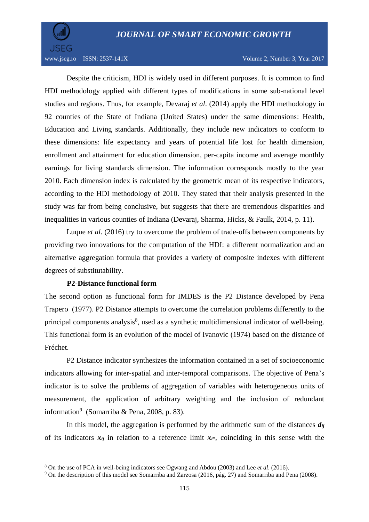

www.jseg.ro ISSN: 2537-141X Volume 2, Number 3, Year 2017

Despite the criticism, HDI is widely used in different purposes. It is common to find HDI methodology applied with different types of modifications in some sub-national level studies and regions. Thus, for example, Devaraj *et al*. (2014) apply the HDI methodology in 92 counties of the State of Indiana (United States) under the same dimensions: Health, Education and Living standards. Additionally, they include new indicators to conform to these dimensions: life expectancy and years of potential life lost for health dimension, enrollment and attainment for education dimension, per-capita income and average monthly earnings for living standards dimension. The information corresponds mostly to the year 2010. Each dimension index is calculated by the geometric mean of its respective indicators, according to the HDI methodology of 2010. They stated that their analysis presented in the study was far from being conclusive, but suggests that there are tremendous disparities and inequalities in various counties of Indiana (Devaraj, Sharma, Hicks, & Faulk, 2014, p. 11).

Luque *et al*. (2016) try to overcome the problem of trade-offs between components by providing two innovations for the computation of the HDI: a different normalization and an alternative aggregation formula that provides a variety of composite indexes with different degrees of substitutability.

## **P2-Distance functional form**

1

The second option as functional form for IMDES is the P2 Distance developed by Pena Trapero (1977). P2 Distance attempts to overcome the correlation problems differently to the principal components analysis<sup>8</sup>, used as a synthetic multidimensional indicator of well-being. This functional form is an evolution of the model of Ivanovic (1974) based on the distance of Fréchet.

P2 Distance indicator synthesizes the information contained in a set of socioeconomic indicators allowing for inter-spatial and inter-temporal comparisons. The objective of Pena's indicator is to solve the problems of aggregation of variables with heterogeneous units of measurement, the application of arbitrary weighting and the inclusion of redundant information<sup>9</sup> (Somarriba & Pena, 2008, p. 83).

In this model, the aggregation is performed by the arithmetic sum of the distances  $d_{ii}$ of its indicators  $x_{ij}$  in relation to a reference limit  $x_{i^*}$ , coinciding in this sense with the

<sup>8</sup> On the use of PCA in well-being indicators see Ogwang and Abdou (2003) and Lee *et al*. (2016).

<sup>9</sup> On the description of this model see Somarriba and Zarzosa (2016, pág. 27) and Somarriba and Pena (2008).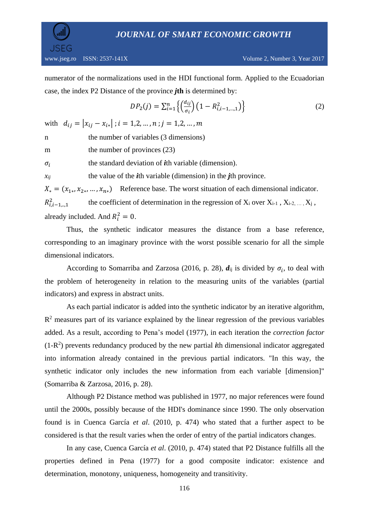

numerator of the normalizations used in the HDI functional form. Applied to the Ecuadorian case, the index P2 Distance of the province *j***th** is determined by:

$$
DP_2(j) = \sum_{i=1}^n \left\{ \left( \frac{d_{ij}}{\sigma_i} \right) \left( 1 - R_{i,i-1,\dots,1}^2 \right) \right\}
$$
 (2)

with  $d_{ij} = |x_{ij} - x_{i*}|$ ;  $i = 1, 2, ..., n$ ;  $j = 1, 2, ..., m$ 

n the number of variables (3 dimensions)

m the number of provinces (23)

 $\sigma_i$ the standard deviation of *i*th variable (dimension).

*xij* the value of the *i*th variable (dimension) in the *j*th province.

 $X_* = (x_{1*}, x_{2*}, ..., x_{n*})$  Reference base. The worst situation of each dimensional indicator.  $R_{i,i-1,..,1}^2$ the coefficient of determination in the regression of  $X_i$  over  $X_{i-1}$ ,  $X_{i-2, ..., X}$ , already included. And  $R_i^2 = 0$ .

Thus, the synthetic indicator measures the distance from a base reference, corresponding to an imaginary province with the worst possible scenario for all the simple dimensional indicators.

According to Somarriba and Zarzosa (2016, p. 28),  $d_{ij}$  is divided by  $\sigma_i$ , to deal with the problem of heterogeneity in relation to the measuring units of the variables (partial indicators) and express in abstract units.

As each partial indicator is added into the synthetic indicator by an iterative algorithm,  $R<sup>2</sup>$  measures part of its variance explained by the linear regression of the previous variables added. As a result, according to Pena's model (1977), in each iteration the *correction factor*  $(1-R<sup>2</sup>)$  prevents redundancy produced by the new partial *i*th dimensional indicator aggregated into information already contained in the previous partial indicators. "In this way, the synthetic indicator only includes the new information from each variable [dimension]" (Somarriba & Zarzosa, 2016, p. 28).

Although P2 Distance method was published in 1977, no major references were found until the 2000s, possibly because of the HDI's dominance since 1990. The only observation found is in Cuenca García *et al*. (2010, p. 474) who stated that a further aspect to be considered is that the result varies when the order of entry of the partial indicators changes.

In any case, Cuenca García *et al*. (2010, p. 474) stated that P2 Distance fulfills all the properties defined in Pena (1977) for a good composite indicator: existence and determination, monotony, uniqueness, homogeneity and transitivity.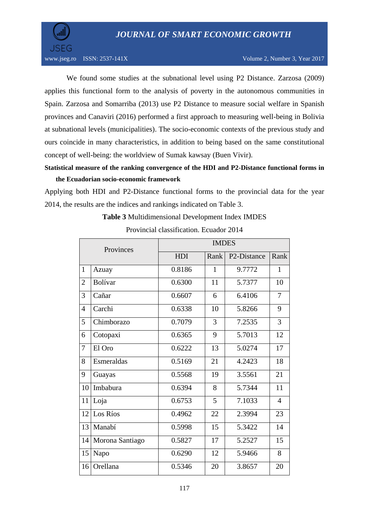

We found some studies at the subnational level using P2 Distance. Zarzosa (2009) applies this functional form to the analysis of poverty in the autonomous communities in Spain. Zarzosa and Somarriba (2013) use P2 Distance to measure social welfare in Spanish provinces and Canaviri (2016) performed a first approach to measuring well-being in Bolivia at subnational levels (municipalities). The socio-economic contexts of the previous study and ours coincide in many characteristics, in addition to being based on the same constitutional concept of well-being: the worldview of Sumak kawsay (Buen Vivir).

**Statistical measure of the ranking convergence of the HDI and P2-Distance functional forms in the Ecuadorian socio-economic framework**

Applying both HDI and P2-Distance functional forms to the provincial data for the year 2014, the results are the indices and rankings indicated on Table 3.

**Table 3** Multidimensional Development Index IMDES

| Provinces      |                 | <b>IMDES</b> |              |                          |                |  |  |
|----------------|-----------------|--------------|--------------|--------------------------|----------------|--|--|
|                |                 | <b>HDI</b>   | Rank         | P <sub>2</sub> -Distance | Rank           |  |  |
| $\mathbf{1}$   | Azuay           | 0.8186       | $\mathbf{1}$ | 9.7772                   | $\mathbf{1}$   |  |  |
| $\overline{2}$ | <b>Bolívar</b>  | 0.6300       | 11           | 5.7377                   | 10             |  |  |
| 3              | Cañar           | 0.6607       | 6            | 6.4106                   | $\overline{7}$ |  |  |
| $\overline{4}$ | Carchi          | 0.6338       | 10           | 5.8266                   | 9              |  |  |
| 5              | Chimborazo      | 0.7079       | 3            | 7.2535                   | 3              |  |  |
| 6              | Cotopaxi        | 0.6365       | 9            | 5.7013                   | 12             |  |  |
| 7              | El Oro          | 0.6222       | 13           | 5.0274                   | 17             |  |  |
| 8              | Esmeraldas      | 0.5169       | 21           | 4.2423                   | 18             |  |  |
| 9              | Guayas          | 0.5568       | 19           | 3.5561                   | 21             |  |  |
| 10             | Imbabura        | 0.6394       | 8            | 5.7344                   | 11             |  |  |
| 11             | Loja            | 0.6753       | 5            | 7.1033                   | $\overline{4}$ |  |  |
| 12             | Los Ríos        | 0.4962       | 22           | 2.3994                   | 23             |  |  |
| 13             | Manabí          | 0.5998       | 15           | 5.3422                   | 14             |  |  |
| 14             | Morona Santiago | 0.5827       | 17           | 5.2527                   | 15             |  |  |
| 15             | Napo            | 0.6290       | 12           | 5.9466                   | 8              |  |  |
| 16             | Orellana        | 0.5346       | 20           | 3.8657                   | 20             |  |  |

Provincial classification. Ecuador 2014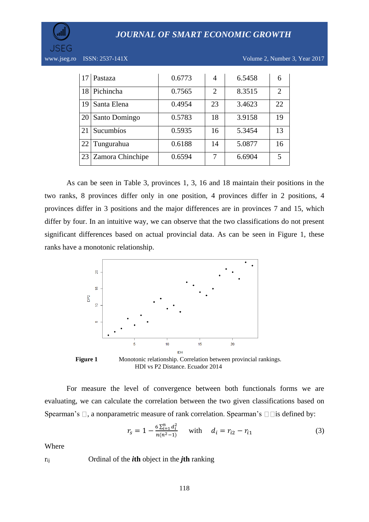

www.jseg.ro ISSN: 2537-141X Volume 2, Number 3, Year 2017

| 17              | Pastaza             | 0.6773 | 4  | 6.5458 | 6  |
|-----------------|---------------------|--------|----|--------|----|
| 18 <sup> </sup> | Pichincha           | 0.7565 | 2  | 8.3515 | 2  |
| 19              | Santa Elena         | 0.4954 | 23 | 3.4623 | 22 |
| 20              | Santo Domingo       | 0.5783 | 18 | 3.9158 | 19 |
| 21              | Sucumbios           | 0.5935 | 16 | 5.3454 | 13 |
| 22 <sub>1</sub> | Tungurahua          | 0.6188 | 14 | 5.0877 | 16 |
|                 | 23 Zamora Chinchipe | 0.6594 | 7  | 6.6904 | 5  |

As can be seen in Table 3, provinces 1, 3, 16 and 18 maintain their positions in the two ranks, 8 provinces differ only in one position, 4 provinces differ in 2 positions, 4 provinces differ in 3 positions and the major differences are in provinces 7 and 15, which differ by four. In an intuitive way, we can observe that the two classifications do not present significant differences based on actual provincial data. As can be seen in Figure 1, these ranks have a monotonic relationship.



**Figure 1** Monotonic relationship. Correlation between provincial rankings. HDI vs P2 Distance. Ecuador 2014

For measure the level of convergence between both functionals forms we are evaluating, we can calculate the correlation between the two given classifications based on Spearman's  $\Box$ , a nonparametric measure of rank correlation. Spearman's  $\Box$   $\Box$  is defined by:

$$
r_{s} = 1 - \frac{6\sum_{i=1}^{n} d_{i}^{2}}{n(n^{2}-1)}
$$
 with  $d_{i} = r_{i2} - r_{i1}$  (3)

Where

rij Ordinal of the *i***th** object in the *j***th** ranking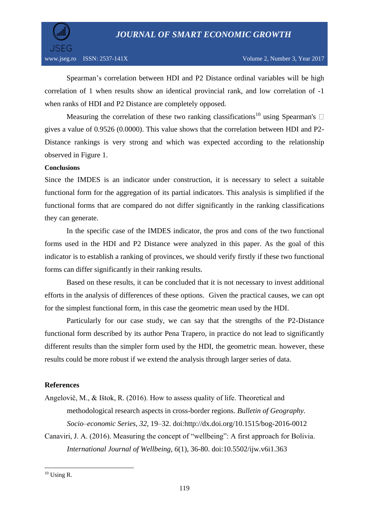

Spearman's correlation between HDI and P2 Distance ordinal variables will be high correlation of 1 when results show an identical provincial rank, and low correlation of -1 when ranks of HDI and P2 Distance are completely opposed.

Measuring the correlation of these two ranking classifications<sup>10</sup> using Spearman's  $\Box$ gives a value of 0.9526 (0.0000). This value shows that the correlation between HDI and P2- Distance rankings is very strong and which was expected according to the relationship observed in Figure 1.

### **Conclusions**

Since the IMDES is an indicator under construction, it is necessary to select a suitable functional form for the aggregation of its partial indicators. This analysis is simplified if the functional forms that are compared do not differ significantly in the ranking classifications they can generate.

In the specific case of the IMDES indicator, the pros and cons of the two functional forms used in the HDI and P2 Distance were analyzed in this paper. As the goal of this indicator is to establish a ranking of provinces, we should verify firstly if these two functional forms can differ significantly in their ranking results.

Based on these results, it can be concluded that it is not necessary to invest additional efforts in the analysis of differences of these options. Given the practical causes, we can opt for the simplest functional form, in this case the geometric mean used by the HDI.

Particularly for our case study, we can say that the strengths of the P2-Distance functional form described by its author Pena Trapero, in practice do not lead to significantly different results than the simpler form used by the HDI, the geometric mean. however, these results could be more robust if we extend the analysis through larger series of data.

## **References**

- Angelovič, M., & Ištok, R. (2016). How to assess quality of life. Theoretical and methodological research aspects in cross-border regions. *Bulletin of Geography. Socio–economic Series, 32*, 19–32. doi:http://dx.doi.org/10.1515/bog-2016-0012
- Canaviri, J. A. (2016). Measuring the concept of "wellbeing": A first approach for Bolivia. *International Journal of Wellbeing, 6*(1), 36-80. doi:10.5502/ijw.v6i1.363

-

 $10$  Using R.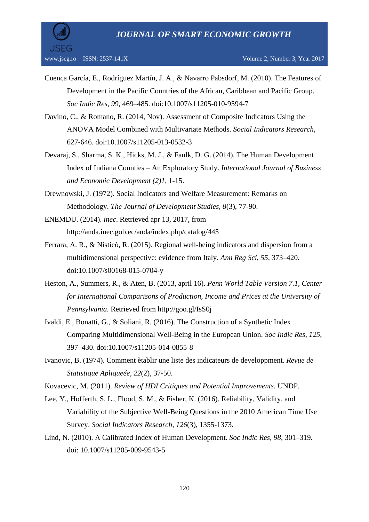

- Cuenca García, E., Rodríguez Martín, J. A., & Navarro Pabsdorf, M. (2010). The Features of Development in the Pacific Countries of the African, Caribbean and Pacific Group. *Soc Indic Res, 99*, 469–485. doi:10.1007/s11205-010-9594-7
- Davino, C., & Romano, R. (2014, Nov). Assessment of Composite Indicators Using the ANOVA Model Combined with Multivariate Methods. *Social Indicators Research*, 627-646. doi:10.1007/s11205-013-0532-3
- Devaraj, S., Sharma, S. K., Hicks, M. J., & Faulk, D. G. (2014). The Human Development Index of Indiana Counties – An Exploratory Study. *International Journal of Business and Economic Development (2)1*, 1-15.
- Drewnowski, J. (1972). Social Indicators and Welfare Measurement: Remarks on Methodology. *The Journal of Development Studies, 8*(3), 77-90.
- ENEMDU. (2014). *inec*. Retrieved apr 13, 2017, from http://anda.inec.gob.ec/anda/index.php/catalog/445
- Ferrara, A. R., & Nisticò, R. (2015). Regional well-being indicators and dispersion from a multidimensional perspective: evidence from Italy. *Ann Reg Sci, 55*, 373–420. doi:10.1007/s00168-015-0704-y
- Heston, A., Summers, R., & Aten, B. (2013, april 16). *Penn World Table Version 7.1, Center for International Comparisons of Production, Income and Prices at the University of Pennsylvania.* Retrieved from http://goo.gl/IsS0j
- Ivaldi, E., Bonatti, G., & Soliani, R. (2016). The Construction of a Synthetic Index Comparing Multidimensional Well-Being in the European Union. *Soc Indic Res, 125*, 397–430. doi:10.1007/s11205-014-0855-8
- Ivanovic, B. (1974). Comment ètablir une liste des indicateurs de developpment. *Revue de Statistique Apliqueée, 22*(2), 37-50.
- Kovacevic, M. (2011). *Review of HDI Critiques and Potential Improvements.* UNDP.
- Lee, Y., Hofferth, S. L., Flood, S. M., & Fisher, K. (2016). Reliability, Validity, and Variability of the Subjective Well-Being Questions in the 2010 American Time Use Survey. *Social Indicators Research, 126*(3), 1355-1373.
- Lind, N. (2010). A Calibrated Index of Human Development. *Soc Indic Res, 98*, 301–319. doi: 10.1007/s11205-009-9543-5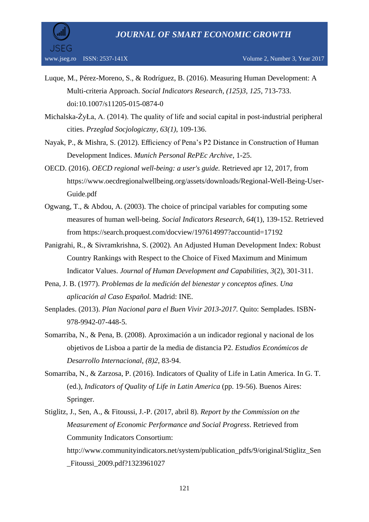

- Luque, M., Pérez-Moreno, S., & Rodríguez, B. (2016). Measuring Human Development: A Multi-criteria Approach. *Social Indicators Research, (125)3, 125*, 713-733. doi:10.1007/s11205-015-0874-0
- Michalska-ŻyŁa, A. (2014). The quality of life and social capital in post-industrial peripheral cities. *Przeglad Socjologiczny, 63(1)*, 109-136.
- Nayak, P., & Mishra, S. (2012). Efficiency of Pena's P2 Distance in Construction of Human Development Indices. *Munich Personal RePEc Archive*, 1-25.
- OECD. (2016). *OECD regional well-being: a user's guide.* Retrieved apr 12, 2017, from https://www.oecdregionalwellbeing.org/assets/downloads/Regional-Well-Being-User-Guide.pdf
- Ogwang, T., & Abdou, A. (2003). The choice of principal variables for computing some measures of human well-being. *Social Indicators Research, 64*(1), 139-152. Retrieved from https://search.proquest.com/docview/197614997?accountid=17192
- Panigrahi, R., & Sivramkrishna, S. (2002). An Adjusted Human Development Index: Robust Country Rankings with Respect to the Choice of Fixed Maximum and Minimum Indicator Values. *Journal of Human Development and Capabilities, 3*(2), 301-311.
- Pena, J. B. (1977). *Problemas de la medición del bienestar y conceptos afines. Una aplicación al Caso Español.* Madrid: INE.
- Senplades. (2013). *Plan Nacional para el Buen Vivir 2013-2017.* Quito: Semplades. ISBN-978-9942-07-448-5.
- Somarriba, N., & Pena, B. (2008). Aproximación a un indicador regional y nacional de los objetivos de Lisboa a partir de la media de distancia P2. *Estudios Económicos de Desarrollo Internacional, (8)2*, 83-94.
- Somarriba, N., & Zarzosa, P. (2016). Indicators of Quality of Life in Latin America. In G. T. (ed.), *Indicators of Quality of Life in Latin America* (pp. 19-56). Buenos Aires: Springer.
- Stiglitz, J., Sen, A., & Fitoussi, J.-P. (2017, abril 8). *Report by the Commission on the Measurement of Economic Performance and Social Progress*. Retrieved from Community Indicators Consortium:

http://www.communityindicators.net/system/publication\_pdfs/9/original/Stiglitz\_Sen \_Fitoussi\_2009.pdf?1323961027